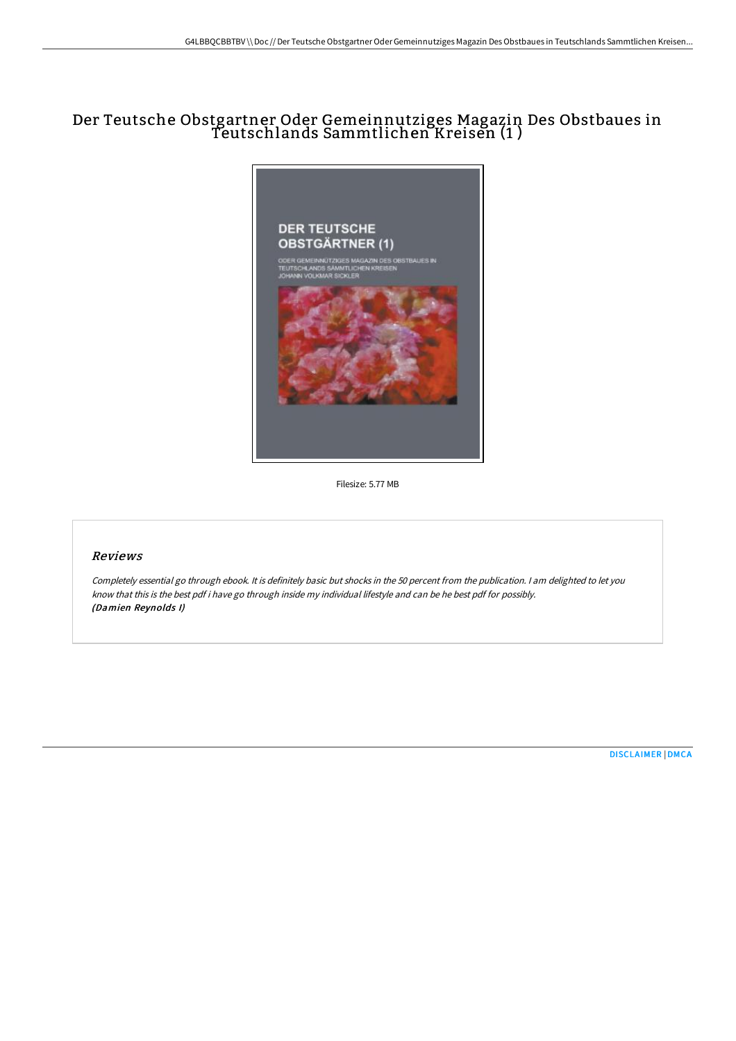# Der Teutsche Obstgartner Oder Gemeinnutziges Magazin Des Obstbaues in Teutschlands Sammtlichen Kreisen (1 )



Filesize: 5.77 MB

### Reviews

Completely essential go through ebook. It is definitely basic but shocks in the <sup>50</sup> percent from the publication. <sup>I</sup> am delighted to let you know that this is the best pdf i have go through inside my individual lifestyle and can be he best pdf for possibly. (Damien Reynolds I)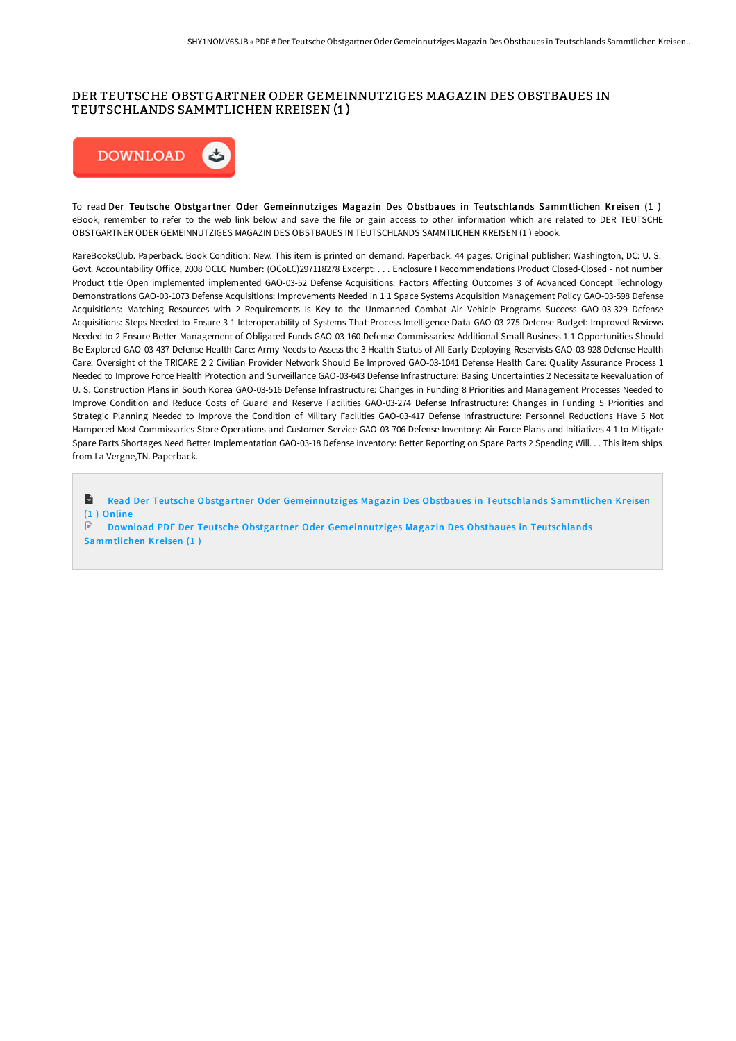# DER TEUTSCHE OBSTGARTNER ODER GEMEINNUTZIGES MAGAZIN DES OBSTBAUES IN TEUTSCHLANDS SAMMTLICHEN KREISEN (1 )



To read Der Teutsche Obstgartner Oder Gemeinnutziges Magazin Des Obstbaues in Teutschlands Sammtlichen Kreisen (1) eBook, remember to refer to the web link below and save the file or gain access to other information which are related to DER TEUTSCHE OBSTGARTNER ODER GEMEINNUTZIGES MAGAZIN DES OBSTBAUES IN TEUTSCHLANDS SAMMTLICHEN KREISEN (1 ) ebook.

RareBooksClub. Paperback. Book Condition: New. This item is printed on demand. Paperback. 44 pages. Original publisher: Washington, DC: U. S. Govt. Accountability Office, 2008 OCLC Number: (OCoLC)297118278 Excerpt: . . . Enclosure I Recommendations Product Closed-Closed - not number Product title Open implemented implemented GAO-03-52 Defense Acquisitions: Factors Affecting Outcomes 3 of Advanced Concept Technology Demonstrations GAO-03-1073 Defense Acquisitions: Improvements Needed in 1 1 Space Systems Acquisition Management Policy GAO-03-598 Defense Acquisitions: Matching Resources with 2 Requirements Is Key to the Unmanned Combat Air Vehicle Programs Success GAO-03-329 Defense Acquisitions: Steps Needed to Ensure 3 1 Interoperability of Systems That Process Intelligence Data GAO-03-275 Defense Budget: Improved Reviews Needed to 2 Ensure Better Management of Obligated Funds GAO-03-160 Defense Commissaries: Additional Small Business 1 1 Opportunities Should Be Explored GAO-03-437 Defense Health Care: Army Needs to Assess the 3 Health Status of All Early-Deploying Reservists GAO-03-928 Defense Health Care: Oversight of the TRICARE 2 2 Civilian Provider Network Should Be Improved GAO-03-1041 Defense Health Care: Quality Assurance Process 1 Needed to Improve Force Health Protection and Surveillance GAO-03-643 Defense Infrastructure: Basing Uncertainties 2 Necessitate Reevaluation of U. S. Construction Plans in South Korea GAO-03-516 Defense Infrastructure: Changes in Funding 8 Priorities and Management Processes Needed to Improve Condition and Reduce Costs of Guard and Reserve Facilities GAO-03-274 Defense Infrastructure: Changes in Funding 5 Priorities and Strategic Planning Needed to Improve the Condition of Military Facilities GAO-03-417 Defense Infrastructure: Personnel Reductions Have 5 Not Hampered Most Commissaries Store Operations and Customer Service GAO-03-706 Defense Inventory: Air Force Plans and Initiatives 4 1 to Mitigate Spare Parts Shortages Need Better Implementation GAO-03-18 Defense Inventory: Better Reporting on Spare Parts 2 Spending Will. . . This item ships from La Vergne,TN. Paperback.

 $\mathbf{r}$ Read Der Teutsche Obstgartner Oder Gemeinnutz iges Magaz in Des Obstbaues in [Teutschlands](http://albedo.media/der-teutsche-obstgartner-oder-gemeinnutziges-mag-1.html) Sammtlichen Kreisen (1 ) Online

 $\mathbb{R}$ Download PDF Der Teutsche Obstgartner Oder Gemeinnutziges Magazin Des Obstbaues in [Teutschlands](http://albedo.media/der-teutsche-obstgartner-oder-gemeinnutziges-mag-1.html) Sammtlichen Kreisen (1 )